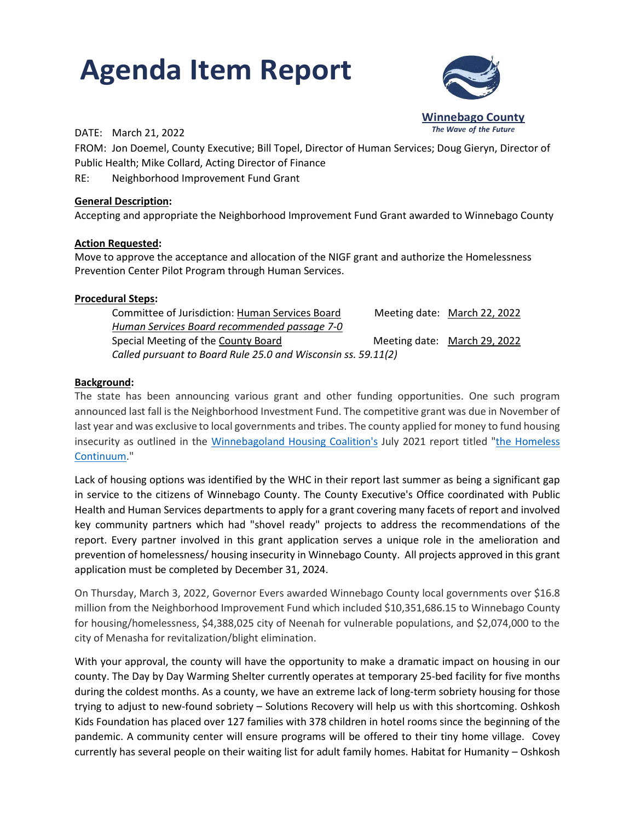# **Agenda Item Report**



#### *The Wave of the Future* DATE: March 21, 2022

FROM: Jon Doemel, County Executive; Bill Topel, Director of Human Services; Doug Gieryn, Director of Public Health; Mike Collard, Acting Director of Finance

RE: Neighborhood Improvement Fund Grant

### **General Description:**

Accepting and appropriate the Neighborhood Improvement Fund Grant awarded to Winnebago County

### **Action Requested:**

Move to approve the acceptance and allocation of the NIGF grant and authorize the Homelessness Prevention Center Pilot Program through Human Services.

### **Procedural Steps:**

| Committee of Jurisdiction: Human Services Board               |  | Meeting date: March 22, 2022 |
|---------------------------------------------------------------|--|------------------------------|
| Human Services Board recommended passage 7-0                  |  |                              |
| Special Meeting of the County Board                           |  | Meeting date: March 29, 2022 |
| Called pursuant to Board Rule 25.0 and Wisconsin ss. 59.11(2) |  |                              |

## **Background:**

The state has been announcing various grant and other funding opportunities. One such program announced last fall is the Neighborhood Investment Fund. The competitive grant was due in November of last year and was exclusive to local governments and tribes. The county applied for money to fund housing insecurity as outlined in the [Winnebagoland Housing Coalition's](http://winnebagolandhousing.blogspot.com/) July 2021 report titled ["the Homeless](http://www.ohawcha.org/2021/07/08/homeless-continuum-report-2021-22/) [Continuum.](http://www.ohawcha.org/2021/07/08/homeless-continuum-report-2021-22/)"

Lack of housing options was identified by the WHC in their report last summer as being a significant gap in service to the citizens of Winnebago County. The County Executive's Office coordinated with Public Health and Human Services departments to apply for a grant covering many facets of report and involved key community partners which had "shovel ready" projects to address the recommendations of the report. Every partner involved in this grant application serves a unique role in the amelioration and prevention of homelessness/ housing insecurity in Winnebago County. All projects approved in this grant application must be completed by December 31, 2024.

On Thursday, March 3, 2022, Governor Evers awarded Winnebago County local governments over \$16.8 million from the Neighborhood Improvement Fund which included \$10,351,686.15 to Winnebago County for housing/homelessness, \$4,388,025 city of Neenah for vulnerable populations, and \$2,074,000 to the city of Menasha for revitalization/blight elimination.

With your approval, the county will have the opportunity to make a dramatic impact on housing in our county. The Day by Day Warming Shelter currently operates at temporary 25-bed facility for five months during the coldest months. As a county, we have an extreme lack of long-term sobriety housing for those trying to adjust to new-found sobriety – Solutions Recovery will help us with this shortcoming. Oshkosh Kids Foundation has placed over 127 families with 378 children in hotel rooms since the beginning of the pandemic. A community center will ensure programs will be offered to their tiny home village. Covey currently has several people on their waiting list for adult family homes. Habitat for Humanity – Oshkosh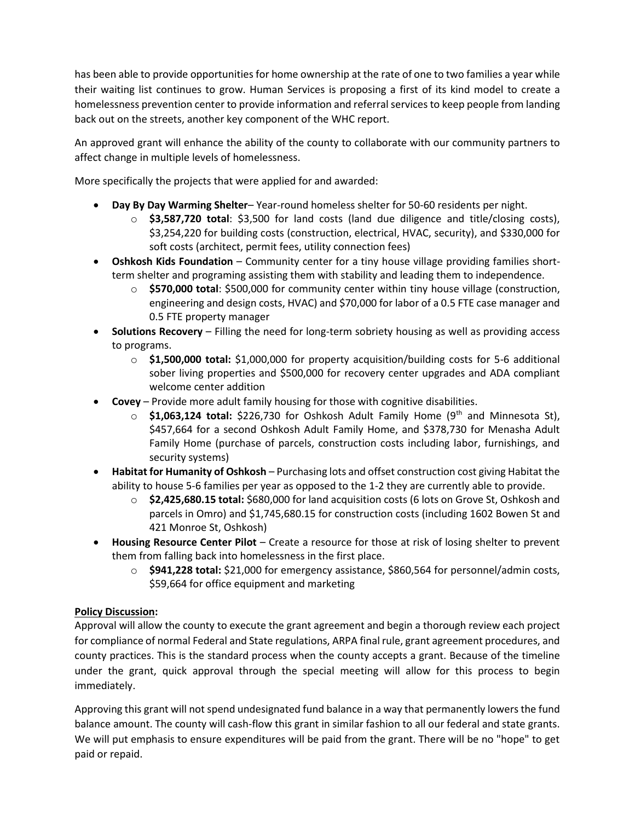has been able to provide opportunities for home ownership at the rate of one to two families a year while their waiting list continues to grow. Human Services is proposing a first of its kind model to create a homelessness prevention center to provide information and referral services to keep people from landing back out on the streets, another key component of the WHC report.

An approved grant will enhance the ability of the county to collaborate with our community partners to affect change in multiple levels of homelessness.

More specifically the projects that were applied for and awarded:

- **Day By Day Warming Shelter** Year-round homeless shelter for 50-60 residents per night.
	- o **\$3,587,720 total**: \$3,500 for land costs (land due diligence and title/closing costs), \$3,254,220 for building costs (construction, electrical, HVAC, security), and \$330,000 for soft costs (architect, permit fees, utility connection fees)
- **Oshkosh Kids Foundation** Community center for a tiny house village providing families shortterm shelter and programing assisting them with stability and leading them to independence.
	- o **\$570,000 total**: \$500,000 for community center within tiny house village (construction, engineering and design costs, HVAC) and \$70,000 for labor of a 0.5 FTE case manager and 0.5 FTE property manager
- **Solutions Recovery** Filling the need for long-term sobriety housing as well as providing access to programs.
	- o **\$1,500,000 total:** \$1,000,000 for property acquisition/building costs for 5-6 additional sober living properties and \$500,000 for recovery center upgrades and ADA compliant welcome center addition
- **Covey** Provide more adult family housing for those with cognitive disabilities.
	- **\$1,063,124 total:** \$226,730 for Oshkosh Adult Family Home (9<sup>th</sup> and Minnesota St), \$457,664 for a second Oshkosh Adult Family Home, and \$378,730 for Menasha Adult Family Home (purchase of parcels, construction costs including labor, furnishings, and security systems)
- **Habitat for Humanity of Oshkosh** Purchasing lots and offset construction cost giving Habitat the ability to house 5-6 families per year as opposed to the 1-2 they are currently able to provide.
	- o **\$2,425,680.15 total:** \$680,000 for land acquisition costs (6 lots on Grove St, Oshkosh and parcels in Omro) and \$1,745,680.15 for construction costs (including 1602 Bowen St and 421 Monroe St, Oshkosh)
- **Housing Resource Center Pilot**  Create a resource for those at risk of losing shelter to prevent them from falling back into homelessness in the first place.
	- o **\$941,228 total:** \$21,000 for emergency assistance, \$860,564 for personnel/admin costs, \$59,664 for office equipment and marketing

# **Policy Discussion:**

Approval will allow the county to execute the grant agreement and begin a thorough review each project for compliance of normal Federal and State regulations, ARPA final rule, grant agreement procedures, and county practices. This is the standard process when the county accepts a grant. Because of the timeline under the grant, quick approval through the special meeting will allow for this process to begin immediately.

Approving this grant will not spend undesignated fund balance in a way that permanently lowers the fund balance amount. The county will cash-flow this grant in similar fashion to all our federal and state grants. We will put emphasis to ensure expenditures will be paid from the grant. There will be no "hope" to get paid or repaid.